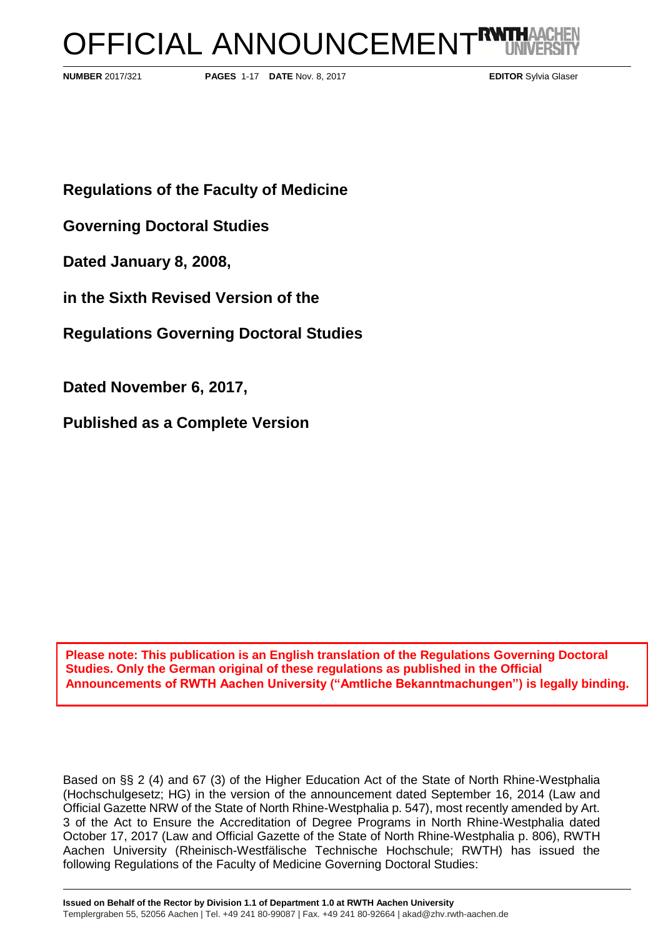# OFFICIAL ANNOUNCEMENT<sup>RW</sup>

**NUMBER** 2017/321 **PAGES** 1-17 **DATE** Nov. 8, 2017 **EDITOR** Sylvia Glaser

**Regulations of the Faculty of Medicine**

**Governing Doctoral Studies** 

**Dated January 8, 2008,**

**in the Sixth Revised Version of the** 

**Regulations Governing Doctoral Studies**

**Dated November 6, 2017,**

**Published as a Complete Version**

**Please note: This publication is an English translation of the Regulations Governing Doctoral Studies. Only the German original of these regulations as published in the Official Announcements of RWTH Aachen University ("Amtliche Bekanntmachungen") is legally binding.**

Based on §§ 2 (4) and 67 (3) of the Higher Education Act of the State of North Rhine-Westphalia (Hochschulgesetz; HG) in the version of the announcement dated September 16, 2014 (Law and Official Gazette NRW of the State of North Rhine-Westphalia p. 547), most recently amended by Art. 3 of the Act to Ensure the Accreditation of Degree Programs in North Rhine-Westphalia dated October 17, 2017 (Law and Official Gazette of the State of North Rhine-Westphalia p. 806), RWTH Aachen University (Rheinisch-Westfälische Technische Hochschule; RWTH) has issued the following Regulations of the Faculty of Medicine Governing Doctoral Studies: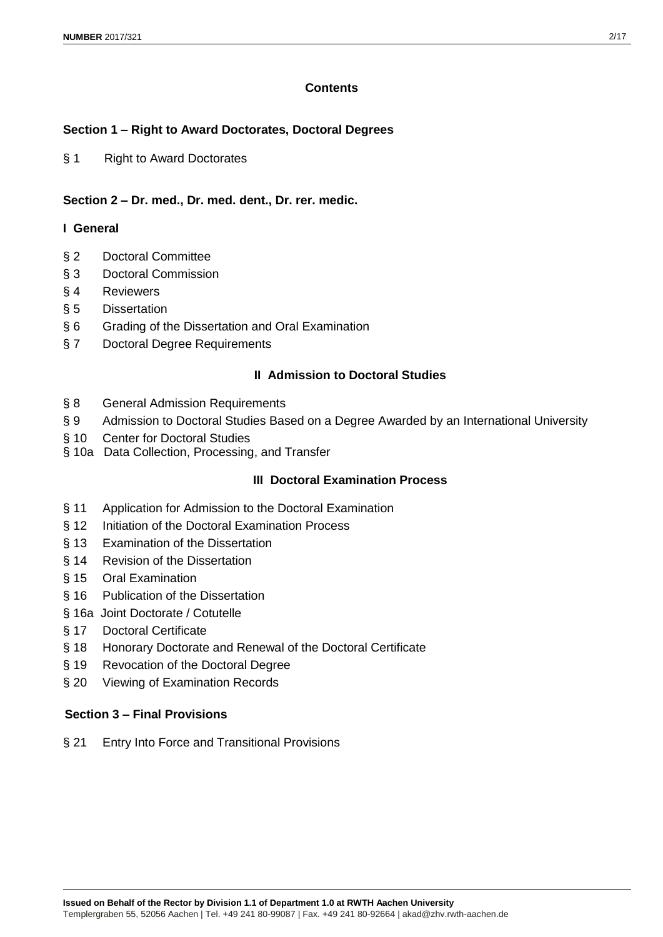# **Contents**

# **Section 1 – Right to Award Doctorates, Doctoral Degrees**

§ 1 Right to Award Doctorates

# **Section 2 – Dr. med., Dr. med. dent., Dr. rer. medic.**

# **I General**

- § 2 Doctoral Committee
- § 3 Doctoral Commission
- § 4 Reviewers
- § 5 Dissertation
- § 6 Grading of the Dissertation and Oral Examination
- § 7 Doctoral Degree Requirements

# **II Admission to Doctoral Studies**

- § 8 General Admission Requirements
- § 9 Admission to Doctoral Studies Based on a Degree Awarded by an International University
- § 10 Center for Doctoral Studies
- § 10a Data Collection, Processing, and Transfer

# **III Doctoral Examination Process**

- § 11 Application for Admission to the Doctoral Examination
- § 12 Initiation of the Doctoral Examination Process
- § 13 Examination of the Dissertation
- § 14 Revision of the Dissertation
- § 15 Oral Examination
- § 16 Publication of the Dissertation
- § 16a Joint Doctorate / Cotutelle
- § 17 Doctoral Certificate
- § 18 Honorary Doctorate and Renewal of the Doctoral Certificate
- § 19 Revocation of the Doctoral Degree
- § 20 Viewing of Examination Records

# **Section 3 – Final Provisions**

§ 21 Entry Into Force and Transitional Provisions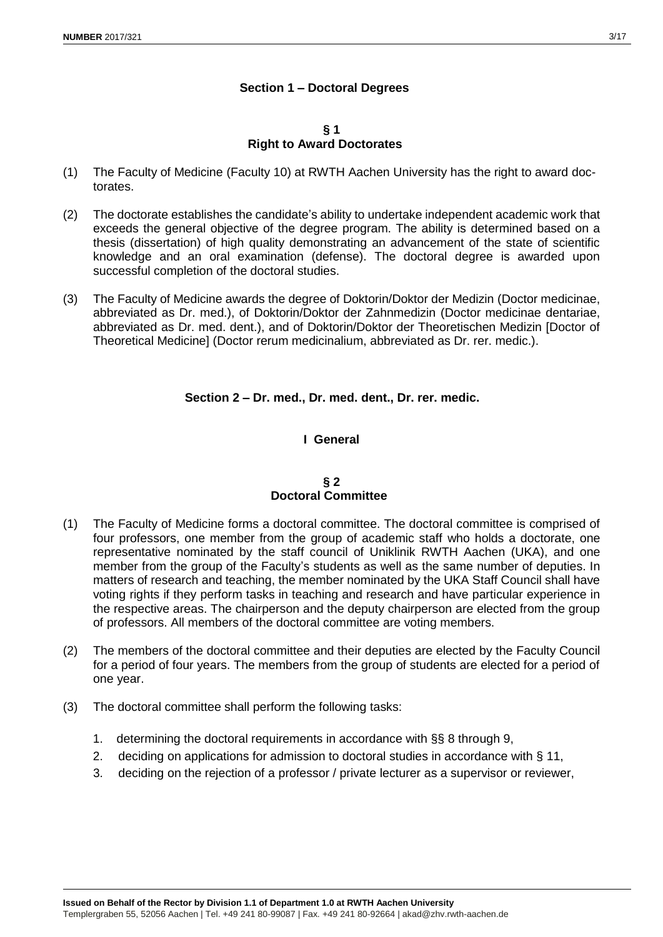# **Section 1 – Doctoral Degrees**

#### **§ 1 Right to Award Doctorates**

- (1) The Faculty of Medicine (Faculty 10) at RWTH Aachen University has the right to award doctorates.
- (2) The doctorate establishes the candidate's ability to undertake independent academic work that exceeds the general objective of the degree program. The ability is determined based on a thesis (dissertation) of high quality demonstrating an advancement of the state of scientific knowledge and an oral examination (defense). The doctoral degree is awarded upon successful completion of the doctoral studies.
- (3) The Faculty of Medicine awards the degree of Doktorin/Doktor der Medizin (Doctor medicinae, abbreviated as Dr. med.), of Doktorin/Doktor der Zahnmedizin (Doctor medicinae dentariae, abbreviated as Dr. med. dent.), and of Doktorin/Doktor der Theoretischen Medizin [Doctor of Theoretical Medicine] (Doctor rerum medicinalium, abbreviated as Dr. rer. medic.).

# **Section 2 – Dr. med., Dr. med. dent., Dr. rer. medic.**

# **I General**

## **§ 2 Doctoral Committee**

- (1) The Faculty of Medicine forms a doctoral committee. The doctoral committee is comprised of four professors, one member from the group of academic staff who holds a doctorate, one representative nominated by the staff council of Uniklinik RWTH Aachen (UKA), and one member from the group of the Faculty's students as well as the same number of deputies. In matters of research and teaching, the member nominated by the UKA Staff Council shall have voting rights if they perform tasks in teaching and research and have particular experience in the respective areas. The chairperson and the deputy chairperson are elected from the group of professors. All members of the doctoral committee are voting members.
- (2) The members of the doctoral committee and their deputies are elected by the Faculty Council for a period of four years. The members from the group of students are elected for a period of one year.
- (3) The doctoral committee shall perform the following tasks:
	- 1. determining the doctoral requirements in accordance with §§ 8 through 9,
	- 2. deciding on applications for admission to doctoral studies in accordance with § 11,
	- 3. deciding on the rejection of a professor / private lecturer as a supervisor or reviewer,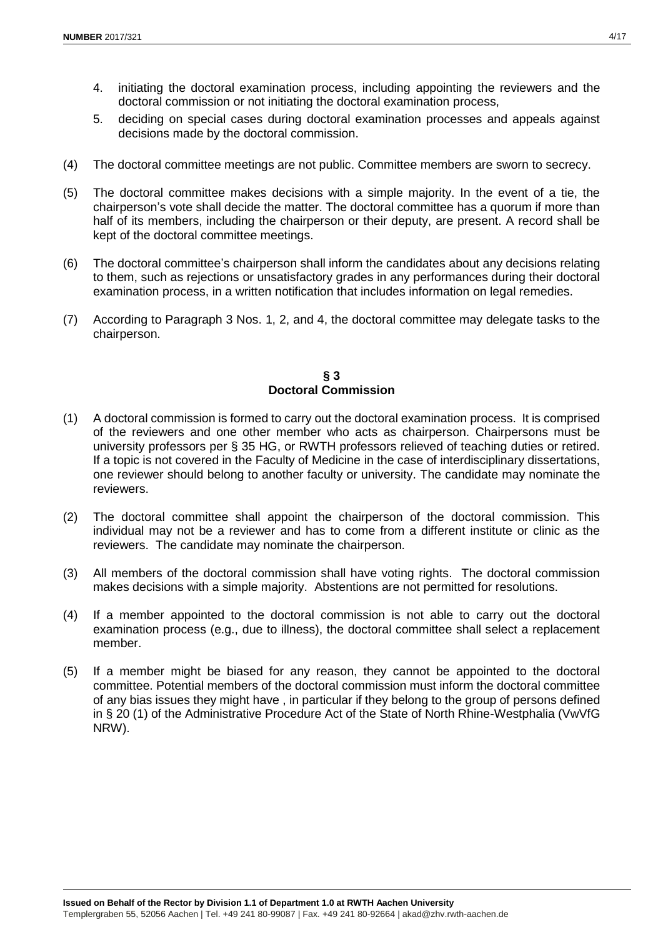- 4. initiating the doctoral examination process, including appointing the reviewers and the doctoral commission or not initiating the doctoral examination process,
- 5. deciding on special cases during doctoral examination processes and appeals against decisions made by the doctoral commission.
- (4) The doctoral committee meetings are not public. Committee members are sworn to secrecy.
- (5) The doctoral committee makes decisions with a simple majority. In the event of a tie, the chairperson's vote shall decide the matter. The doctoral committee has a quorum if more than half of its members, including the chairperson or their deputy, are present. A record shall be kept of the doctoral committee meetings.
- (6) The doctoral committee's chairperson shall inform the candidates about any decisions relating to them, such as rejections or unsatisfactory grades in any performances during their doctoral examination process, in a written notification that includes information on legal remedies.
- (7) According to Paragraph 3 Nos. 1, 2, and 4, the doctoral committee may delegate tasks to the chairperson.

## **§ 3 Doctoral Commission**

- (1) A doctoral commission is formed to carry out the doctoral examination process. It is comprised of the reviewers and one other member who acts as chairperson. Chairpersons must be university professors per § 35 HG, or RWTH professors relieved of teaching duties or retired. If a topic is not covered in the Faculty of Medicine in the case of interdisciplinary dissertations, one reviewer should belong to another faculty or university. The candidate may nominate the reviewers.
- (2) The doctoral committee shall appoint the chairperson of the doctoral commission. This individual may not be a reviewer and has to come from a different institute or clinic as the reviewers. The candidate may nominate the chairperson.
- (3) All members of the doctoral commission shall have voting rights. The doctoral commission makes decisions with a simple majority. Abstentions are not permitted for resolutions.
- (4) If a member appointed to the doctoral commission is not able to carry out the doctoral examination process (e.g., due to illness), the doctoral committee shall select a replacement member.
- (5) If a member might be biased for any reason, they cannot be appointed to the doctoral committee. Potential members of the doctoral commission must inform the doctoral committee of any bias issues they might have , in particular if they belong to the group of persons defined in § 20 (1) of the Administrative Procedure Act of the State of North Rhine-Westphalia (VwVfG NRW).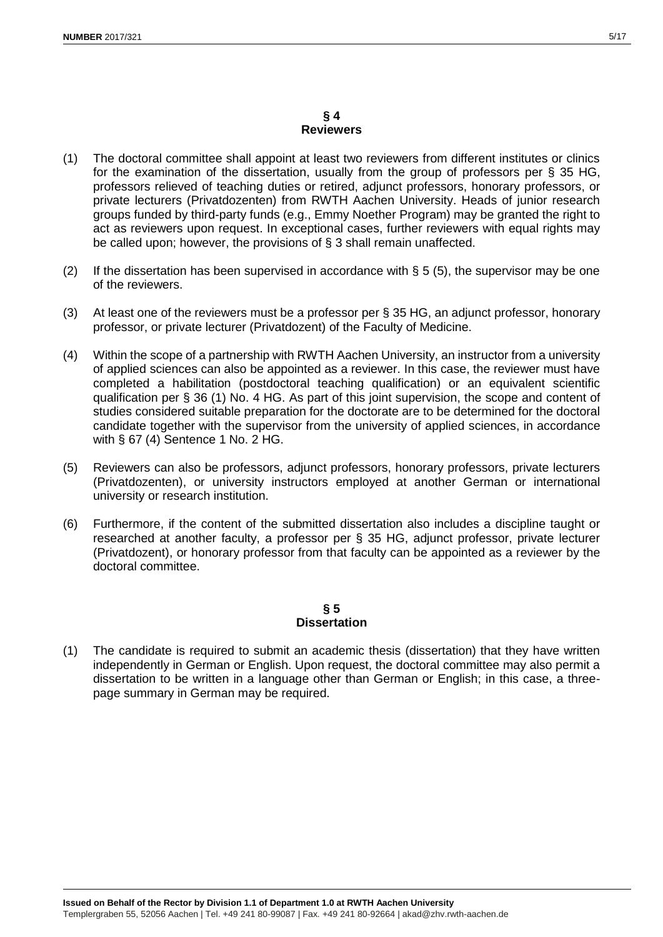#### **§ 4 Reviewers**

- (1) The doctoral committee shall appoint at least two reviewers from different institutes or clinics for the examination of the dissertation, usually from the group of professors per § 35 HG, professors relieved of teaching duties or retired, adjunct professors, honorary professors, or private lecturers (Privatdozenten) from RWTH Aachen University. Heads of junior research groups funded by third-party funds (e.g., Emmy Noether Program) may be granted the right to act as reviewers upon request. In exceptional cases, further reviewers with equal rights may be called upon; however, the provisions of § 3 shall remain unaffected.
- (2) If the dissertation has been supervised in accordance with  $\S 5$  (5), the supervisor may be one of the reviewers.
- (3) At least one of the reviewers must be a professor per § 35 HG, an adjunct professor, honorary professor, or private lecturer (Privatdozent) of the Faculty of Medicine.
- (4) Within the scope of a partnership with RWTH Aachen University, an instructor from a university of applied sciences can also be appointed as a reviewer. In this case, the reviewer must have completed a habilitation (postdoctoral teaching qualification) or an equivalent scientific qualification per § 36 (1) No. 4 HG. As part of this joint supervision, the scope and content of studies considered suitable preparation for the doctorate are to be determined for the doctoral candidate together with the supervisor from the university of applied sciences, in accordance with § 67 (4) Sentence 1 No. 2 HG.
- (5) Reviewers can also be professors, adjunct professors, honorary professors, private lecturers (Privatdozenten), or university instructors employed at another German or international university or research institution.
- (6) Furthermore, if the content of the submitted dissertation also includes a discipline taught or researched at another faculty, a professor per § 35 HG, adjunct professor, private lecturer (Privatdozent), or honorary professor from that faculty can be appointed as a reviewer by the doctoral committee.

## **§ 5 Dissertation**

(1) The candidate is required to submit an academic thesis (dissertation) that they have written independently in German or English. Upon request, the doctoral committee may also permit a dissertation to be written in a language other than German or English; in this case, a threepage summary in German may be required.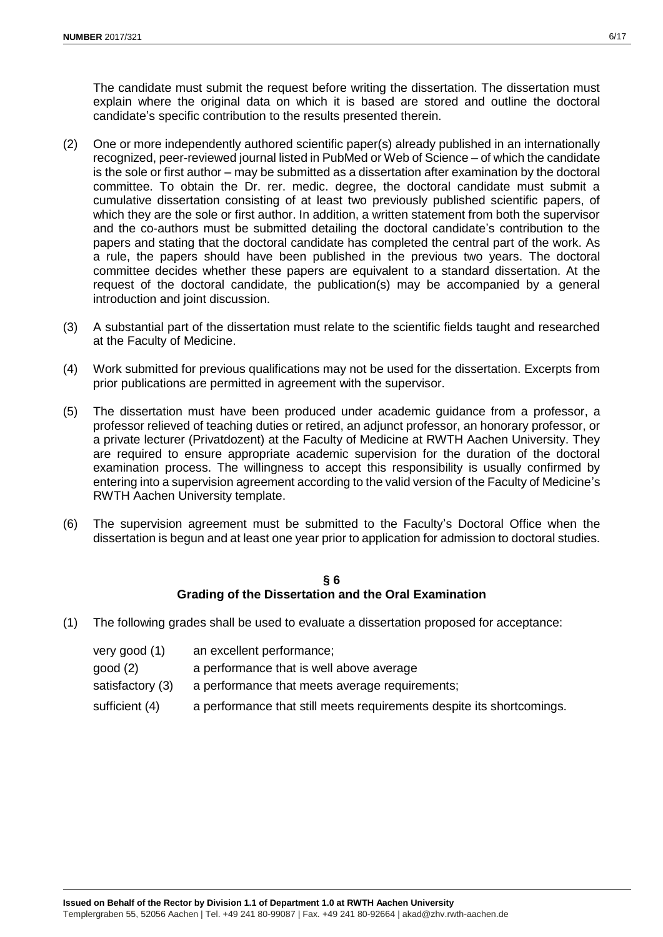The candidate must submit the request before writing the dissertation. The dissertation must explain where the original data on which it is based are stored and outline the doctoral candidate's specific contribution to the results presented therein.

- (2) One or more independently authored scientific paper(s) already published in an internationally recognized, peer-reviewed journal listed in PubMed or Web of Science – of which the candidate is the sole or first author – may be submitted as a dissertation after examination by the doctoral committee. To obtain the Dr. rer. medic. degree, the doctoral candidate must submit a cumulative dissertation consisting of at least two previously published scientific papers, of which they are the sole or first author. In addition, a written statement from both the supervisor and the co-authors must be submitted detailing the doctoral candidate's contribution to the papers and stating that the doctoral candidate has completed the central part of the work. As a rule, the papers should have been published in the previous two years. The doctoral committee decides whether these papers are equivalent to a standard dissertation. At the request of the doctoral candidate, the publication(s) may be accompanied by a general introduction and joint discussion.
- (3) A substantial part of the dissertation must relate to the scientific fields taught and researched at the Faculty of Medicine.
- (4) Work submitted for previous qualifications may not be used for the dissertation. Excerpts from prior publications are permitted in agreement with the supervisor.
- (5) The dissertation must have been produced under academic guidance from a professor, a professor relieved of teaching duties or retired, an adjunct professor, an honorary professor, or a private lecturer (Privatdozent) at the Faculty of Medicine at RWTH Aachen University. They are required to ensure appropriate academic supervision for the duration of the doctoral examination process. The willingness to accept this responsibility is usually confirmed by entering into a supervision agreement according to the valid version of the Faculty of Medicine's RWTH Aachen University template.
- (6) The supervision agreement must be submitted to the Faculty's Doctoral Office when the dissertation is begun and at least one year prior to application for admission to doctoral studies.

#### **§ 6 Grading of the Dissertation and the Oral Examination**

(1) The following grades shall be used to evaluate a dissertation proposed for acceptance:

| very good (1)    | an excellent performance;                                             |
|------------------|-----------------------------------------------------------------------|
| good (2)         | a performance that is well above average                              |
| satisfactory (3) | a performance that meets average requirements;                        |
| sufficient (4)   | a performance that still meets requirements despite its shortcomings. |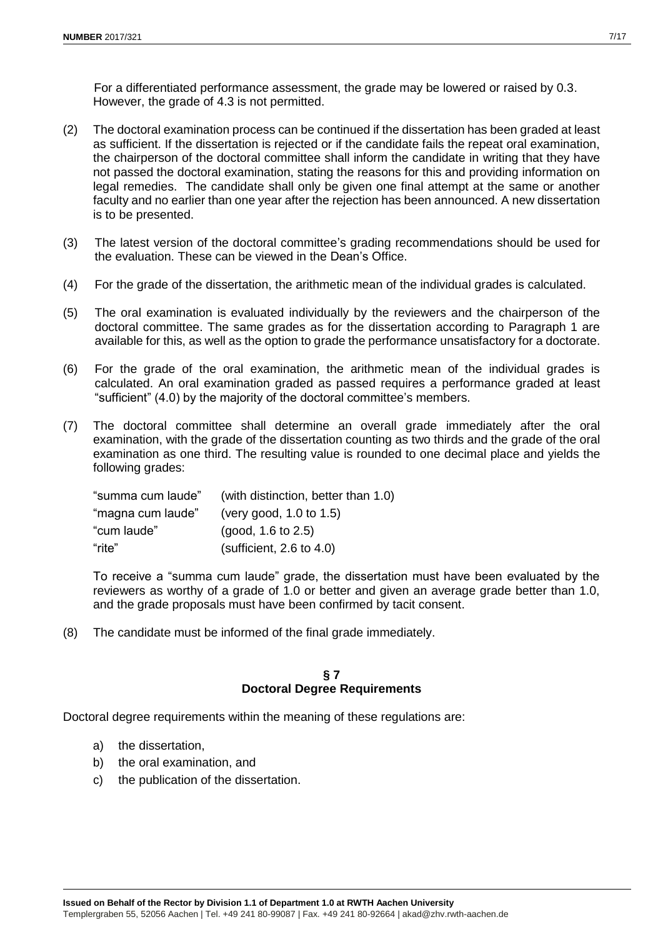For a differentiated performance assessment, the grade may be lowered or raised by 0.3. However, the grade of 4.3 is not permitted.

- (2) The doctoral examination process can be continued if the dissertation has been graded at least as sufficient. If the dissertation is rejected or if the candidate fails the repeat oral examination, the chairperson of the doctoral committee shall inform the candidate in writing that they have not passed the doctoral examination, stating the reasons for this and providing information on legal remedies. The candidate shall only be given one final attempt at the same or another faculty and no earlier than one year after the rejection has been announced. A new dissertation is to be presented.
- (3) The latest version of the doctoral committee's grading recommendations should be used for the evaluation. These can be viewed in the Dean's Office.
- (4) For the grade of the dissertation, the arithmetic mean of the individual grades is calculated.
- (5) The oral examination is evaluated individually by the reviewers and the chairperson of the doctoral committee. The same grades as for the dissertation according to Paragraph 1 are available for this, as well as the option to grade the performance unsatisfactory for a doctorate.
- (6) For the grade of the oral examination, the arithmetic mean of the individual grades is calculated. An oral examination graded as passed requires a performance graded at least "sufficient" (4.0) by the majority of the doctoral committee's members.
- (7) The doctoral committee shall determine an overall grade immediately after the oral examination, with the grade of the dissertation counting as two thirds and the grade of the oral examination as one third. The resulting value is rounded to one decimal place and yields the following grades:

| "summa cum laude" | (with distinction, better than 1.0) |
|-------------------|-------------------------------------|
| "magna cum laude" | (very good, $1.0$ to $1.5$ )        |
| "cum laude"       | (good, 1.6 to 2.5)                  |
| "rite"            | (sufficient, 2.6 to 4.0)            |

To receive a "summa cum laude" grade, the dissertation must have been evaluated by the reviewers as worthy of a grade of 1.0 or better and given an average grade better than 1.0, and the grade proposals must have been confirmed by tacit consent.

(8) The candidate must be informed of the final grade immediately.

#### **§ 7 Doctoral Degree Requirements**

Doctoral degree requirements within the meaning of these regulations are:

- a) the dissertation,
- b) the oral examination, and
- c) the publication of the dissertation.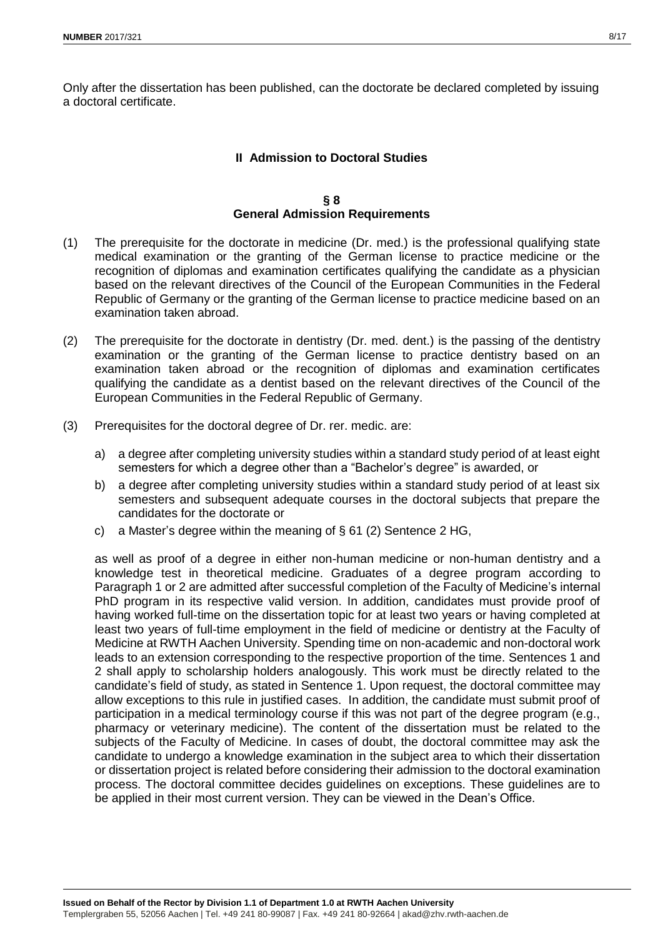Only after the dissertation has been published, can the doctorate be declared completed by issuing a doctoral certificate.

# **II Admission to Doctoral Studies**

#### **§ 8 General Admission Requirements**

- (1) The prerequisite for the doctorate in medicine (Dr. med.) is the professional qualifying state medical examination or the granting of the German license to practice medicine or the recognition of diplomas and examination certificates qualifying the candidate as a physician based on the relevant directives of the Council of the European Communities in the Federal Republic of Germany or the granting of the German license to practice medicine based on an examination taken abroad.
- (2) The prerequisite for the doctorate in dentistry (Dr. med. dent.) is the passing of the dentistry examination or the granting of the German license to practice dentistry based on an examination taken abroad or the recognition of diplomas and examination certificates qualifying the candidate as a dentist based on the relevant directives of the Council of the European Communities in the Federal Republic of Germany.
- (3) Prerequisites for the doctoral degree of Dr. rer. medic. are:
	- a) a degree after completing university studies within a standard study period of at least eight semesters for which a degree other than a "Bachelor's degree" is awarded, or
	- b) a degree after completing university studies within a standard study period of at least six semesters and subsequent adequate courses in the doctoral subjects that prepare the candidates for the doctorate or
	- c) a Master's degree within the meaning of  $\S$  61 (2) Sentence 2 HG,

as well as proof of a degree in either non-human medicine or non-human dentistry and a knowledge test in theoretical medicine. Graduates of a degree program according to Paragraph 1 or 2 are admitted after successful completion of the Faculty of Medicine's internal PhD program in its respective valid version. In addition, candidates must provide proof of having worked full-time on the dissertation topic for at least two years or having completed at least two years of full-time employment in the field of medicine or dentistry at the Faculty of Medicine at RWTH Aachen University. Spending time on non-academic and non-doctoral work leads to an extension corresponding to the respective proportion of the time. Sentences 1 and 2 shall apply to scholarship holders analogously. This work must be directly related to the candidate's field of study, as stated in Sentence 1. Upon request, the doctoral committee may allow exceptions to this rule in justified cases. In addition, the candidate must submit proof of participation in a medical terminology course if this was not part of the degree program (e.g., pharmacy or veterinary medicine). The content of the dissertation must be related to the subjects of the Faculty of Medicine. In cases of doubt, the doctoral committee may ask the candidate to undergo a knowledge examination in the subject area to which their dissertation or dissertation project is related before considering their admission to the doctoral examination process. The doctoral committee decides guidelines on exceptions. These guidelines are to be applied in their most current version. They can be viewed in the Dean's Office.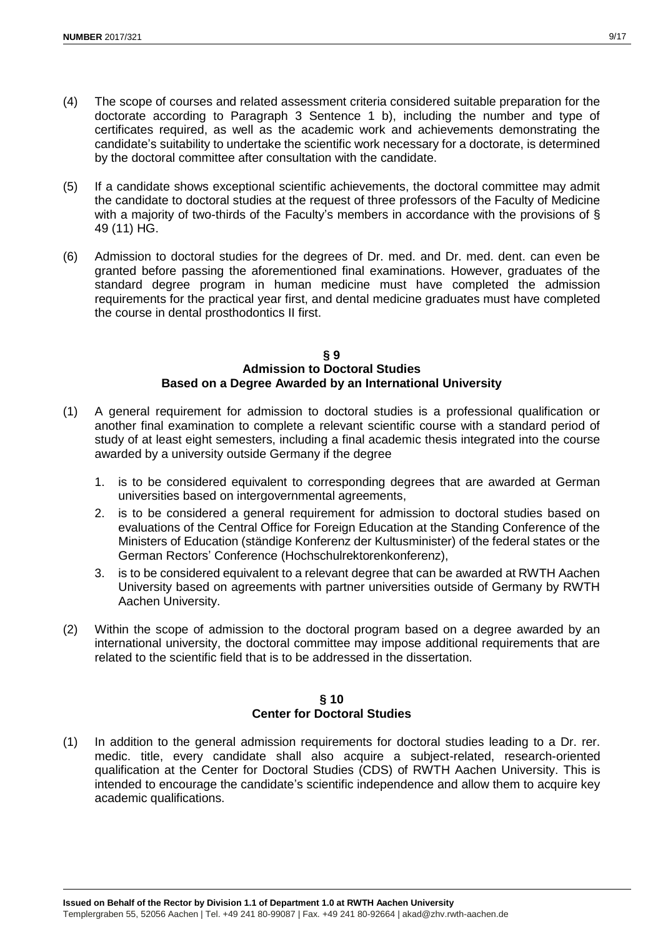- (4) The scope of courses and related assessment criteria considered suitable preparation for the doctorate according to Paragraph 3 Sentence 1 b), including the number and type of certificates required, as well as the academic work and achievements demonstrating the candidate's suitability to undertake the scientific work necessary for a doctorate, is determined by the doctoral committee after consultation with the candidate.
- (5) If a candidate shows exceptional scientific achievements, the doctoral committee may admit the candidate to doctoral studies at the request of three professors of the Faculty of Medicine with a majority of two-thirds of the Faculty's members in accordance with the provisions of § 49 (11) HG.
- (6) Admission to doctoral studies for the degrees of Dr. med. and Dr. med. dent. can even be granted before passing the aforementioned final examinations. However, graduates of the standard degree program in human medicine must have completed the admission requirements for the practical year first, and dental medicine graduates must have completed the course in dental prosthodontics II first.

#### **§ 9 Admission to Doctoral Studies Based on a Degree Awarded by an International University**

- (1) A general requirement for admission to doctoral studies is a professional qualification or another final examination to complete a relevant scientific course with a standard period of study of at least eight semesters, including a final academic thesis integrated into the course awarded by a university outside Germany if the degree
	- 1. is to be considered equivalent to corresponding degrees that are awarded at German universities based on intergovernmental agreements,
	- 2. is to be considered a general requirement for admission to doctoral studies based on evaluations of the Central Office for Foreign Education at the Standing Conference of the Ministers of Education (ständige Konferenz der Kultusminister) of the federal states or the German Rectors' Conference (Hochschulrektorenkonferenz),
	- 3. is to be considered equivalent to a relevant degree that can be awarded at RWTH Aachen University based on agreements with partner universities outside of Germany by RWTH Aachen University.
- (2) Within the scope of admission to the doctoral program based on a degree awarded by an international university, the doctoral committee may impose additional requirements that are related to the scientific field that is to be addressed in the dissertation.

## **§ 10 Center for Doctoral Studies**

(1) In addition to the general admission requirements for doctoral studies leading to a Dr. rer. medic. title, every candidate shall also acquire a subject-related, research-oriented qualification at the Center for Doctoral Studies (CDS) of RWTH Aachen University. This is intended to encourage the candidate's scientific independence and allow them to acquire key academic qualifications.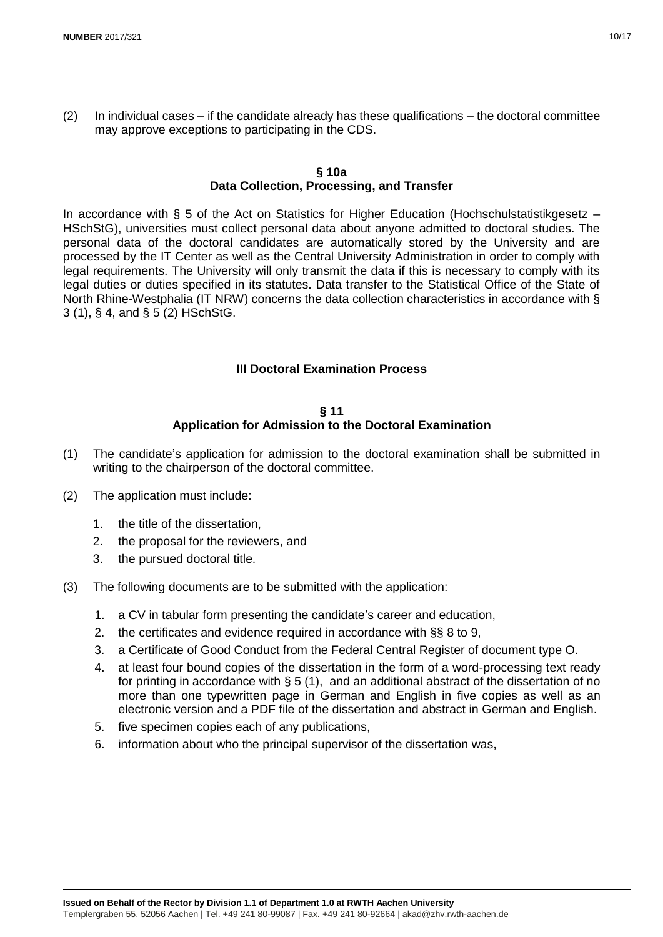$(2)$  In individual cases – if the candidate already has these qualifications – the doctoral committee may approve exceptions to participating in the CDS.

## **§ 10a Data Collection, Processing, and Transfer**

In accordance with § 5 of the Act on Statistics for Higher Education (Hochschulstatistikgesetz – HSchStG), universities must collect personal data about anyone admitted to doctoral studies. The personal data of the doctoral candidates are automatically stored by the University and are processed by the IT Center as well as the Central University Administration in order to comply with legal requirements. The University will only transmit the data if this is necessary to comply with its legal duties or duties specified in its statutes. Data transfer to the Statistical Office of the State of North Rhine-Westphalia (IT NRW) concerns the data collection characteristics in accordance with § 3 (1), § 4, and § 5 (2) HSchStG.

# **III Doctoral Examination Process**

### **§ 11 Application for Admission to the Doctoral Examination**

- (1) The candidate's application for admission to the doctoral examination shall be submitted in writing to the chairperson of the doctoral committee.
- (2) The application must include:
	- 1. the title of the dissertation,
	- 2. the proposal for the reviewers, and
	- 3. the pursued doctoral title.
- (3) The following documents are to be submitted with the application:
	- 1. a CV in tabular form presenting the candidate's career and education,
	- 2. the certificates and evidence required in accordance with §§ 8 to 9,
	- 3. a Certificate of Good Conduct from the Federal Central Register of document type O.
	- 4. at least four bound copies of the dissertation in the form of a word-processing text ready for printing in accordance with § 5 (1), and an additional abstract of the dissertation of no more than one typewritten page in German and English in five copies as well as an electronic version and a PDF file of the dissertation and abstract in German and English.
	- 5. five specimen copies each of any publications,
	- 6. information about who the principal supervisor of the dissertation was,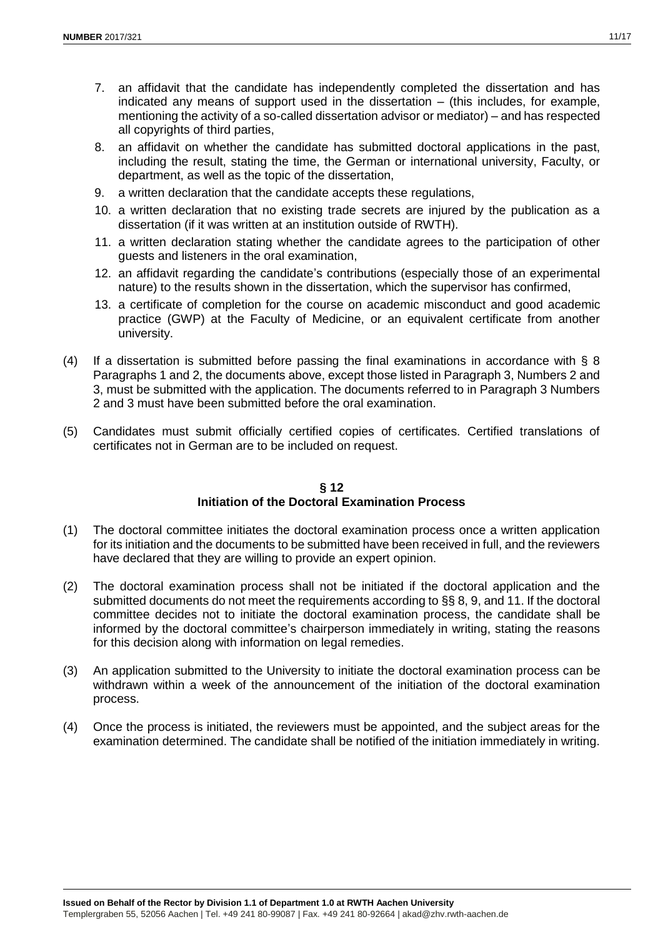- 7. an affidavit that the candidate has independently completed the dissertation and has indicated any means of support used in the dissertation – (this includes, for example, mentioning the activity of a so-called dissertation advisor or mediator) – and has respected all copyrights of third parties,
- 8. an affidavit on whether the candidate has submitted doctoral applications in the past, including the result, stating the time, the German or international university, Faculty, or department, as well as the topic of the dissertation,
- 9. a written declaration that the candidate accepts these regulations,
- 10. a written declaration that no existing trade secrets are injured by the publication as a dissertation (if it was written at an institution outside of RWTH).
- 11. a written declaration stating whether the candidate agrees to the participation of other guests and listeners in the oral examination,
- 12. an affidavit regarding the candidate's contributions (especially those of an experimental nature) to the results shown in the dissertation, which the supervisor has confirmed,
- 13. a certificate of completion for the course on academic misconduct and good academic practice (GWP) at the Faculty of Medicine, or an equivalent certificate from another university.
- (4) If a dissertation is submitted before passing the final examinations in accordance with § 8 Paragraphs 1 and 2, the documents above, except those listed in Paragraph 3, Numbers 2 and 3, must be submitted with the application. The documents referred to in Paragraph 3 Numbers 2 and 3 must have been submitted before the oral examination.
- (5) Candidates must submit officially certified copies of certificates. Certified translations of certificates not in German are to be included on request.

## **§ 12 Initiation of the Doctoral Examination Process**

- (1) The doctoral committee initiates the doctoral examination process once a written application for its initiation and the documents to be submitted have been received in full, and the reviewers have declared that they are willing to provide an expert opinion.
- (2) The doctoral examination process shall not be initiated if the doctoral application and the submitted documents do not meet the requirements according to §§ 8, 9, and 11. If the doctoral committee decides not to initiate the doctoral examination process, the candidate shall be informed by the doctoral committee's chairperson immediately in writing, stating the reasons for this decision along with information on legal remedies.
- (3) An application submitted to the University to initiate the doctoral examination process can be withdrawn within a week of the announcement of the initiation of the doctoral examination process.
- (4) Once the process is initiated, the reviewers must be appointed, and the subject areas for the examination determined. The candidate shall be notified of the initiation immediately in writing.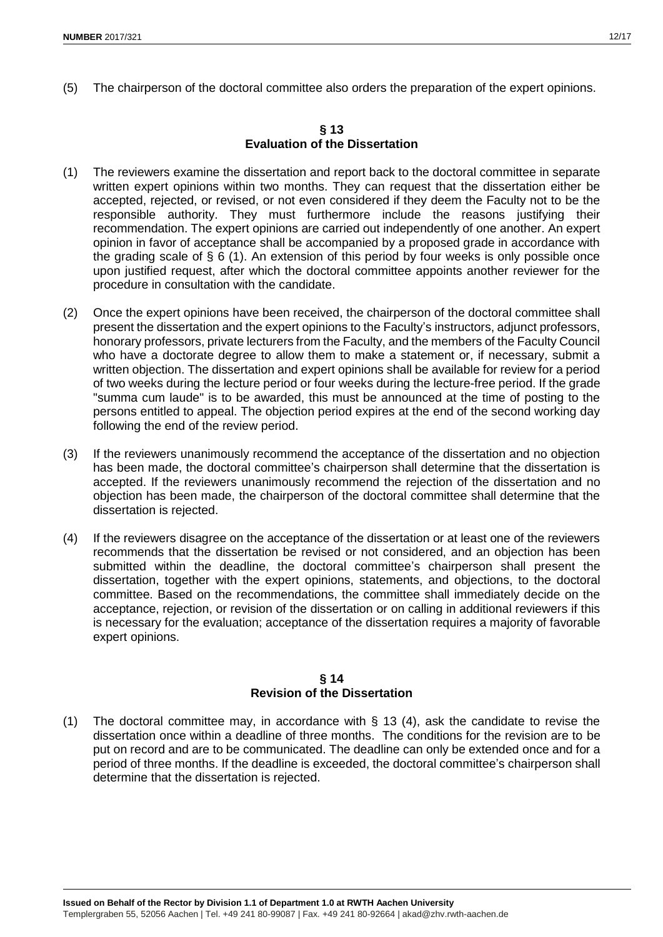(5) The chairperson of the doctoral committee also orders the preparation of the expert opinions.

#### **§ 13 Evaluation of the Dissertation**

- (1) The reviewers examine the dissertation and report back to the doctoral committee in separate written expert opinions within two months. They can request that the dissertation either be accepted, rejected, or revised, or not even considered if they deem the Faculty not to be the responsible authority. They must furthermore include the reasons justifying their recommendation. The expert opinions are carried out independently of one another. An expert opinion in favor of acceptance shall be accompanied by a proposed grade in accordance with the grading scale of § 6 (1). An extension of this period by four weeks is only possible once upon justified request, after which the doctoral committee appoints another reviewer for the procedure in consultation with the candidate.
- (2) Once the expert opinions have been received, the chairperson of the doctoral committee shall present the dissertation and the expert opinions to the Faculty's instructors, adjunct professors, honorary professors, private lecturers from the Faculty, and the members of the Faculty Council who have a doctorate degree to allow them to make a statement or, if necessary, submit a written objection. The dissertation and expert opinions shall be available for review for a period of two weeks during the lecture period or four weeks during the lecture-free period. If the grade "summa cum laude" is to be awarded, this must be announced at the time of posting to the persons entitled to appeal. The objection period expires at the end of the second working day following the end of the review period.
- (3) If the reviewers unanimously recommend the acceptance of the dissertation and no objection has been made, the doctoral committee's chairperson shall determine that the dissertation is accepted. If the reviewers unanimously recommend the rejection of the dissertation and no objection has been made, the chairperson of the doctoral committee shall determine that the dissertation is rejected.
- (4) If the reviewers disagree on the acceptance of the dissertation or at least one of the reviewers recommends that the dissertation be revised or not considered, and an objection has been submitted within the deadline, the doctoral committee's chairperson shall present the dissertation, together with the expert opinions, statements, and objections, to the doctoral committee. Based on the recommendations, the committee shall immediately decide on the acceptance, rejection, or revision of the dissertation or on calling in additional reviewers if this is necessary for the evaluation; acceptance of the dissertation requires a majority of favorable expert opinions.

## **§ 14 Revision of the Dissertation**

(1) The doctoral committee may, in accordance with § 13 (4), ask the candidate to revise the dissertation once within a deadline of three months. The conditions for the revision are to be put on record and are to be communicated. The deadline can only be extended once and for a period of three months. If the deadline is exceeded, the doctoral committee's chairperson shall determine that the dissertation is rejected.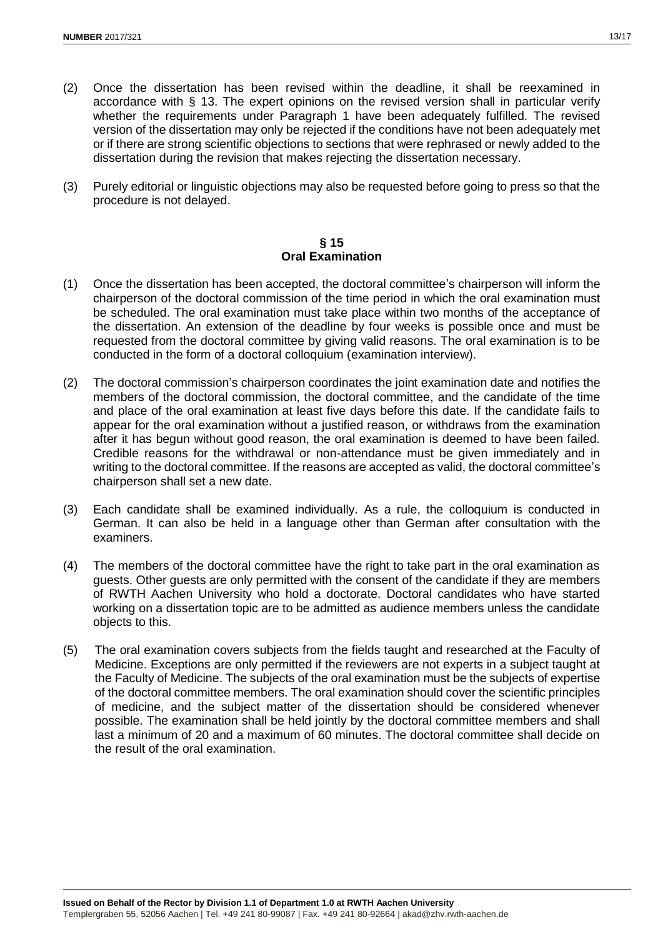- (2) Once the dissertation has been revised within the deadline, it shall be reexamined in accordance with § 13. The expert opinions on the revised version shall in particular verify whether the requirements under Paragraph 1 have been adequately fulfilled. The revised version of the dissertation may only be rejected if the conditions have not been adequately met or if there are strong scientific objections to sections that were rephrased or newly added to the dissertation during the revision that makes rejecting the dissertation necessary.
- (3) Purely editorial or linguistic objections may also be requested before going to press so that the procedure is not delayed.

### **§ 15 Oral Examination**

- (1) Once the dissertation has been accepted, the doctoral committee's chairperson will inform the chairperson of the doctoral commission of the time period in which the oral examination must be scheduled. The oral examination must take place within two months of the acceptance of the dissertation. An extension of the deadline by four weeks is possible once and must be requested from the doctoral committee by giving valid reasons. The oral examination is to be conducted in the form of a doctoral colloquium (examination interview).
- (2) The doctoral commission's chairperson coordinates the joint examination date and notifies the members of the doctoral commission, the doctoral committee, and the candidate of the time and place of the oral examination at least five days before this date. If the candidate fails to appear for the oral examination without a justified reason, or withdraws from the examination after it has begun without good reason, the oral examination is deemed to have been failed. Credible reasons for the withdrawal or non-attendance must be given immediately and in writing to the doctoral committee. If the reasons are accepted as valid, the doctoral committee's chairperson shall set a new date.
- (3) Each candidate shall be examined individually. As a rule, the colloquium is conducted in German. It can also be held in a language other than German after consultation with the examiners.
- (4) The members of the doctoral committee have the right to take part in the oral examination as guests. Other guests are only permitted with the consent of the candidate if they are members of RWTH Aachen University who hold a doctorate. Doctoral candidates who have started working on a dissertation topic are to be admitted as audience members unless the candidate objects to this.
- (5) The oral examination covers subjects from the fields taught and researched at the Faculty of Medicine. Exceptions are only permitted if the reviewers are not experts in a subject taught at the Faculty of Medicine. The subjects of the oral examination must be the subjects of expertise of the doctoral committee members. The oral examination should cover the scientific principles of medicine, and the subject matter of the dissertation should be considered whenever possible. The examination shall be held jointly by the doctoral committee members and shall last a minimum of 20 and a maximum of 60 minutes. The doctoral committee shall decide on the result of the oral examination.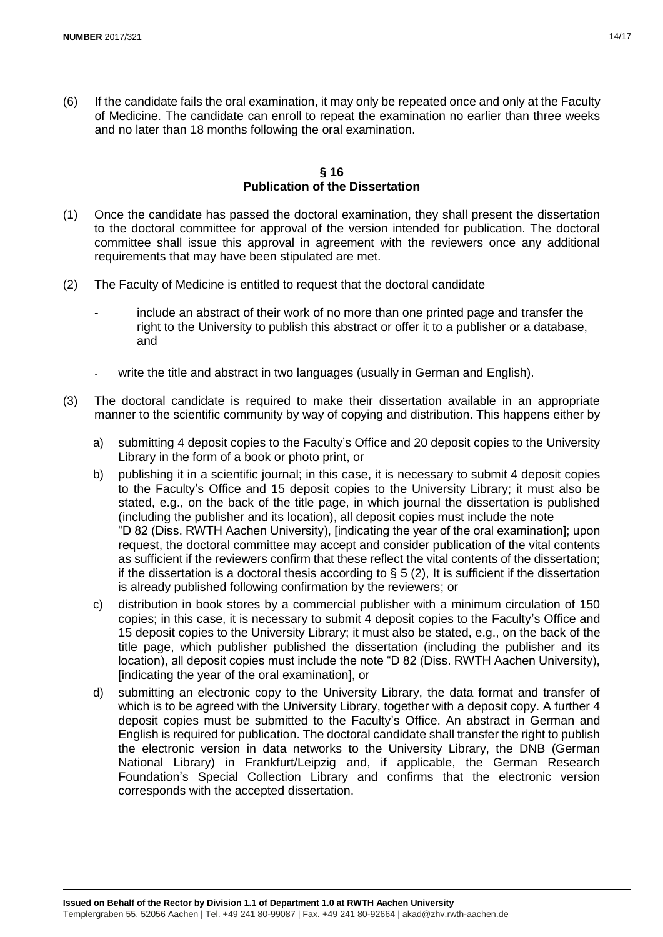(6) If the candidate fails the oral examination, it may only be repeated once and only at the Faculty of Medicine. The candidate can enroll to repeat the examination no earlier than three weeks and no later than 18 months following the oral examination.

## **§ 16 Publication of the Dissertation**

- (1) Once the candidate has passed the doctoral examination, they shall present the dissertation to the doctoral committee for approval of the version intended for publication. The doctoral committee shall issue this approval in agreement with the reviewers once any additional requirements that may have been stipulated are met.
- (2) The Faculty of Medicine is entitled to request that the doctoral candidate
	- include an abstract of their work of no more than one printed page and transfer the right to the University to publish this abstract or offer it to a publisher or a database, and
	- write the title and abstract in two languages (usually in German and English).
- (3) The doctoral candidate is required to make their dissertation available in an appropriate manner to the scientific community by way of copying and distribution. This happens either by
	- a) submitting 4 deposit copies to the Faculty's Office and 20 deposit copies to the University Library in the form of a book or photo print, or
	- b) publishing it in a scientific journal; in this case, it is necessary to submit 4 deposit copies to the Faculty's Office and 15 deposit copies to the University Library; it must also be stated, e.g., on the back of the title page, in which journal the dissertation is published (including the publisher and its location), all deposit copies must include the note "D 82 (Diss. RWTH Aachen University), [indicating the year of the oral examination]; upon request, the doctoral committee may accept and consider publication of the vital contents as sufficient if the reviewers confirm that these reflect the vital contents of the dissertation; if the dissertation is a doctoral thesis according to  $\S 5 (2)$ , It is sufficient if the dissertation is already published following confirmation by the reviewers; or
	- c) distribution in book stores by a commercial publisher with a minimum circulation of 150 copies; in this case, it is necessary to submit 4 deposit copies to the Faculty's Office and 15 deposit copies to the University Library; it must also be stated, e.g., on the back of the title page, which publisher published the dissertation (including the publisher and its location), all deposit copies must include the note "D 82 (Diss. RWTH Aachen University), [indicating the year of the oral examination], or
	- d) submitting an electronic copy to the University Library, the data format and transfer of which is to be agreed with the University Library, together with a deposit copy. A further 4 deposit copies must be submitted to the Faculty's Office. An abstract in German and English is required for publication. The doctoral candidate shall transfer the right to publish the electronic version in data networks to the University Library, the DNB (German National Library) in Frankfurt/Leipzig and, if applicable, the German Research Foundation's Special Collection Library and confirms that the electronic version corresponds with the accepted dissertation.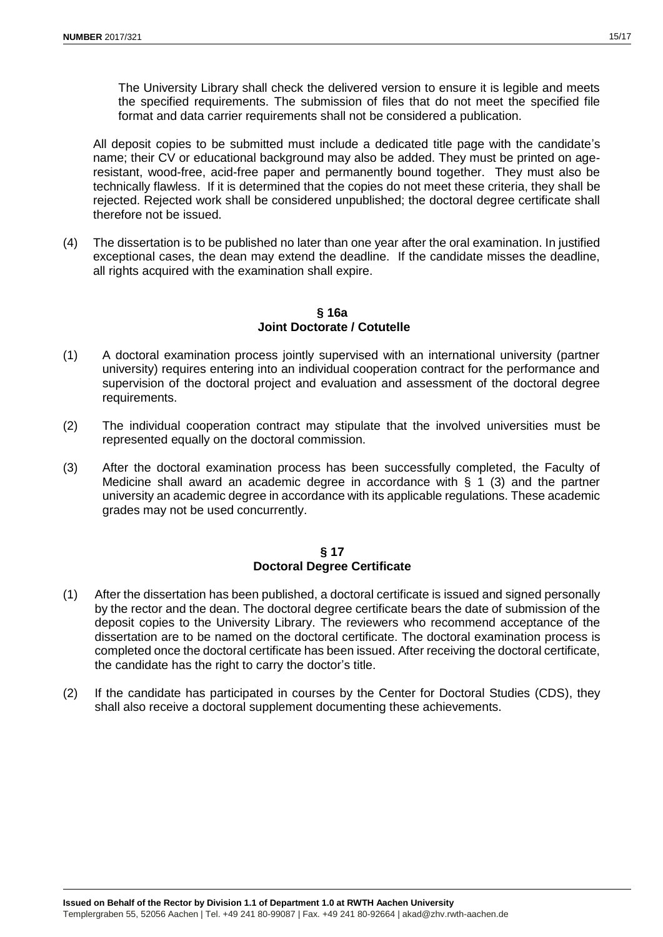The University Library shall check the delivered version to ensure it is legible and meets the specified requirements. The submission of files that do not meet the specified file format and data carrier requirements shall not be considered a publication.

All deposit copies to be submitted must include a dedicated title page with the candidate's name; their CV or educational background may also be added. They must be printed on ageresistant, wood-free, acid-free paper and permanently bound together. They must also be technically flawless. If it is determined that the copies do not meet these criteria, they shall be rejected. Rejected work shall be considered unpublished; the doctoral degree certificate shall therefore not be issued.

(4) The dissertation is to be published no later than one year after the oral examination. In justified exceptional cases, the dean may extend the deadline. If the candidate misses the deadline, all rights acquired with the examination shall expire.

**§ 16a Joint Doctorate / Cotutelle**

- (1) A doctoral examination process jointly supervised with an international university (partner university) requires entering into an individual cooperation contract for the performance and supervision of the doctoral project and evaluation and assessment of the doctoral degree requirements.
- (2) The individual cooperation contract may stipulate that the involved universities must be represented equally on the doctoral commission.
- (3) After the doctoral examination process has been successfully completed, the Faculty of Medicine shall award an academic degree in accordance with  $\S$  1 (3) and the partner university an academic degree in accordance with its applicable regulations. These academic grades may not be used concurrently.

## **§ 17 Doctoral Degree Certificate**

- (1) After the dissertation has been published, a doctoral certificate is issued and signed personally by the rector and the dean. The doctoral degree certificate bears the date of submission of the deposit copies to the University Library. The reviewers who recommend acceptance of the dissertation are to be named on the doctoral certificate. The doctoral examination process is completed once the doctoral certificate has been issued. After receiving the doctoral certificate, the candidate has the right to carry the doctor's title.
- (2) If the candidate has participated in courses by the Center for Doctoral Studies (CDS), they shall also receive a doctoral supplement documenting these achievements.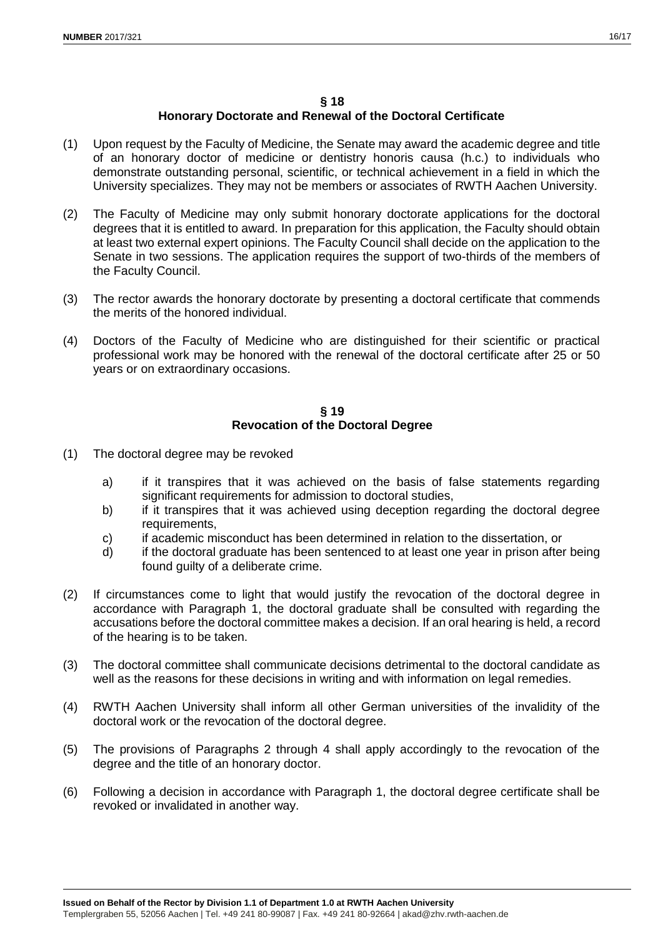#### **§ 18**

# **Honorary Doctorate and Renewal of the Doctoral Certificate**

- (1) Upon request by the Faculty of Medicine, the Senate may award the academic degree and title of an honorary doctor of medicine or dentistry honoris causa (h.c.) to individuals who demonstrate outstanding personal, scientific, or technical achievement in a field in which the University specializes. They may not be members or associates of RWTH Aachen University.
- (2) The Faculty of Medicine may only submit honorary doctorate applications for the doctoral degrees that it is entitled to award. In preparation for this application, the Faculty should obtain at least two external expert opinions. The Faculty Council shall decide on the application to the Senate in two sessions. The application requires the support of two-thirds of the members of the Faculty Council.
- (3) The rector awards the honorary doctorate by presenting a doctoral certificate that commends the merits of the honored individual.
- (4) Doctors of the Faculty of Medicine who are distinguished for their scientific or practical professional work may be honored with the renewal of the doctoral certificate after 25 or 50 years or on extraordinary occasions.

### **§ 19 Revocation of the Doctoral Degree**

- (1) The doctoral degree may be revoked
	- a) if it transpires that it was achieved on the basis of false statements regarding significant requirements for admission to doctoral studies,
	- b) if it transpires that it was achieved using deception regarding the doctoral degree requirements,
	- c) if academic misconduct has been determined in relation to the dissertation, or
	- d) if the doctoral graduate has been sentenced to at least one year in prison after being found guilty of a deliberate crime.
- (2) If circumstances come to light that would justify the revocation of the doctoral degree in accordance with Paragraph 1, the doctoral graduate shall be consulted with regarding the accusations before the doctoral committee makes a decision. If an oral hearing is held, a record of the hearing is to be taken.
- (3) The doctoral committee shall communicate decisions detrimental to the doctoral candidate as well as the reasons for these decisions in writing and with information on legal remedies.
- (4) RWTH Aachen University shall inform all other German universities of the invalidity of the doctoral work or the revocation of the doctoral degree.
- (5) The provisions of Paragraphs 2 through 4 shall apply accordingly to the revocation of the degree and the title of an honorary doctor.
- (6) Following a decision in accordance with Paragraph 1, the doctoral degree certificate shall be revoked or invalidated in another way.